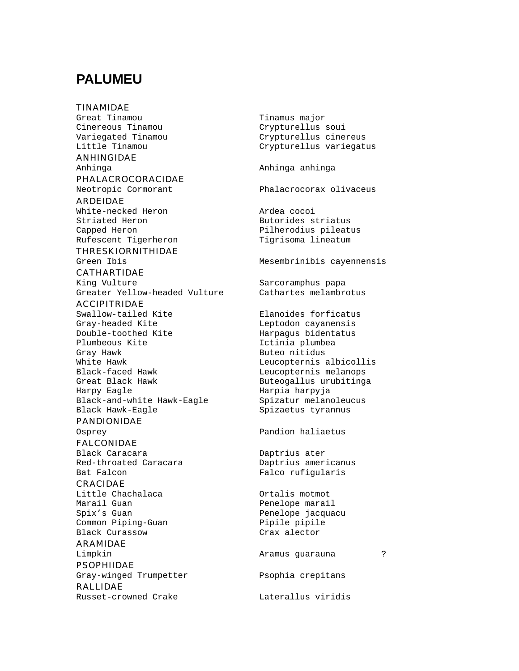## **PALUMEU**

TINAMIDAE Great Tinamou Tinamus major Cinereous Tinamou Crypturellus soui Variegated Tinamou Crypturellus cinereus<br>
Little Tinamou Crypturellus variegat ANHINGIDAE Anhinga Anhinga anhinga PHALACROCORACIDAE Neotropic Cormorant Phalacrocorax olivaceus ARDEIDAE White-necked Heron and ardea cocoi Striated Heron Butorides striatus Capped Heron **Pilherodius** pileatus Rufescent Tigerheron Tigrisoma lineatum THRESKIORNITHIDAE Green Ibis **Mesembrinibis** cayennensis CATHARTIDAE King Vulture Sarcoramphus papa Greater Yellow-headed Vulture Cathartes melambrotus ACCIPITRIDAE Swallow-tailed Kite **Elanoides** forficatus Gray-headed Kite and Leptodon cayanensis Double-toothed Kite Harpagus bidentatus Plumbeous Kite **Ictinia** plumbea Gray Hawk **Buteo** nitidus White Hawk **Leucopternis** albicollis Black-faced Hawk Leucopternis melanops Great Black Hawk **Buteogallus** urubitinga Harpy Eagle **Harpia harpyja** Black-and-white Hawk-Eagle Spizatur melanoleucus Black Hawk-Eagle Spizaetus tyrannus PANDIONIDAE Osprey Pandion haliaetus FALCONIDAE Black Caracara **Daptrius** ater Red-throated Caracara Daptrius americanus Bat Falcon Falco rufigularis CRACIDAE Little Chachalaca Ortalis motmot Spix's Guan **Penelope** jacquacu Common Piping-Guan Pipile pipile Black Curassow Crax alector ARAMIDAE Limpkin Aramus guarauna ? **PSOPHIIDAE** Gray-winged Trumpetter Psophia crepitans RALLIDAE Russet-crowned Crake Laterallus viridis

Crypturellus variegatus Penelope marail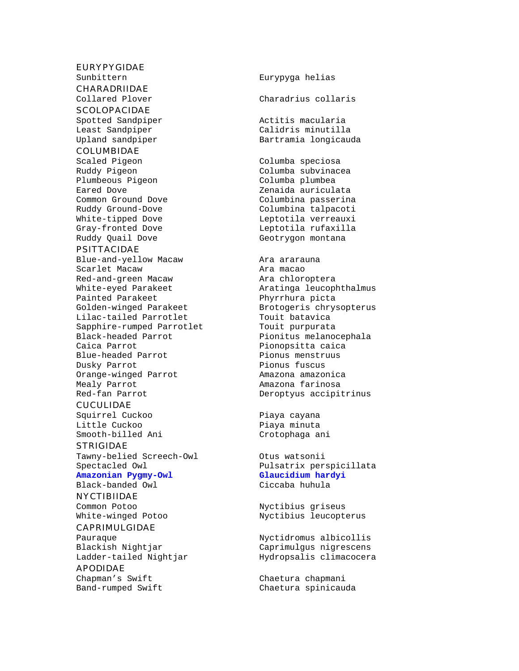#### EURYPYGIDAE

Sunbittern Eurypyga helias

CHARADRIIDAE

## **SCOLOPACIDAE**

#### COLUMBIDAE

Ruddy Pigeon Columba subvinacea Plumbeous Pigeon Columba plumbea Eared Dove Zenaida auriculata Common Ground Dove Columbina passerina<br>Ruddy Ground-Dove Columbina talpacoti White-tipped Dove and Leptotila verreauxi Gray-fronted Dove Leptotila rufaxilla<br>Ruddy Quail Dove Geotrygon montana

#### PSITTACIDAE

Blue-and-yellow Macaw **Ara ararauna** Scarlet Macaw **Aramacao** Red-and-green Macaw **Ara** chloroptera White-eyed Parakeet Aratinga leucophthalmus<br>
Painted Parakeet Aratinga phyrrhura picta Painted Parakeet<br>Golden-winged Parakeet Brotogeris chrys Lilac-tailed Parrotlet Sapphire-rumped Parrotlet Touit purpurata<br>Black-headed Parrot Pionitus melano Caica Parrot **Pionopsitta** caica Blue-headed Parrot Pionus menstruus Dusky Parrot Pionus fuscus Orange-winged Parrot Mealy Parrot **Amazona** farinosa Red-fan Parrot Deroptyus accipitrinus

#### CUCULIDAE

Squirrel Cuckoo **Piaya** cayana Little Cuckoo **Piaya** minuta Smooth-billed Ani Crotophaga ani

#### STRIGIDAE

Tawny-belied Screech-Owl Otus watsonii Amazonian Pygmy-Owl

#### Black-banded Owl Ciccaba huhula

**NYCTIBIIDAE** 

#### CAPRIMULGIDAE

#### APODIDAE

# Collared Plover Charadrius collaris Spotted Sandpiper and actitis macularia<br>
Least Sandpiper and Calidris minutilla Least Sandpiper (Calidris minutilla<br>
Upland sandpiper (Upland Sandpiper (Department Bartramia longicaud) Bartramia longicauda Scaled Pigeon Columba speciosa

Columbina talpacoti Geotrygon montana

Brotogeris chrysopterus<br>Touit batavica Pionitus melanocephala

Spectacled Owl **Pulsatrix perspicillata**<br> **Amazonian Pygmy-Owl Pulsatrix perspicillata** 

Common Potoo **Nyctibius** griseus White-winged Potoo Nyctibius leucopterus

Pauraque Nyctidromus albicollis Blackish Nightjar Caprimulgus nigrescens Ladder-tailed Nightjar Hydropsalis climacocera

Chapman's Swift Chaetura chapmani Band-rumped Swift Chaetura spinicauda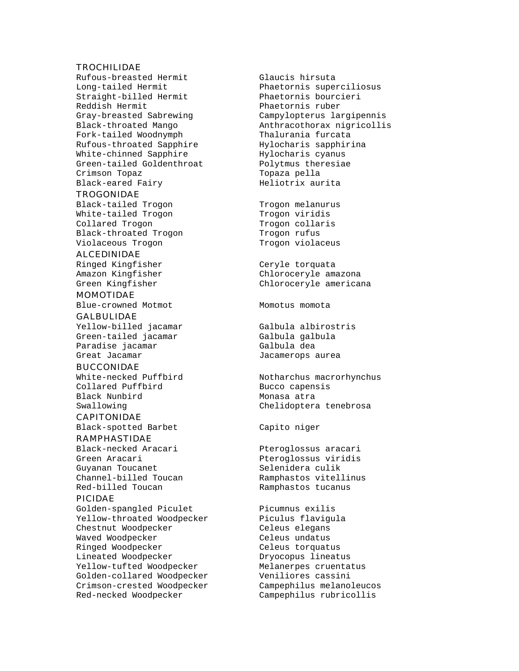#### **TROCHILIDAE**

Rufous-breasted Hermit Glaucis hirsuta Long-tailed Hermit Phaetornis superciliosus Straight-billed Hermit Phaetornis bourcieri Reddish Hermit Phaetornis ruber Fork-tailed Woodnymph Rufous-throated Sapphire Hylocharis sapphirina White-chinned Sapphire Hylocharis cyanus Green-tailed Goldenthroat Polytmus theresiae Crimson Topaz Topaza pella Black-eared Fairy **Heliotrix** aurita

#### **TROGONIDAE**

Black-tailed Trogon Trogon melanurus White-tailed Trogon Trogon viridis Collared Trogon Trogon collaris Black-throated Trogon Trogon rufus Violaceous Trogon Trogon violaceus

#### ALCEDINIDAE

Ringed Kingfisher Ceryle torquata

#### MOMOTIDAE

Blue-crowned Motmot Momotus momota GALBULIDAE

Yellow-billed jacamar Galbula albirostris<br>Green-tailed jacamar Galbula galbula Green-tailed jacamar Paradise jacamar Galbula dea

#### BUCCONIDAE

White-necked Puffbird Notharchus macrorhynchus Collared Puffbird Bucco capensis Black Nunbird Monasa atra

#### CAPITONIDAE

Black-spotted Barbet Capito niger

#### RAMPHASTIDAE

Green Aracari **Presidis** Pteroglossus viridis Guyanan Toucanet Selenidera culik Red-billed Toucan The Ramphastos tucanus

#### PICIDAE

Golden-spangled Piculet Picumnus exilis Yellow-throated Woodpecker Piculus flavigula Chestnut Woodpecker Celeus elegans Waved Woodpecker Celeus undatus Ringed Woodpecker Celeus torquatus Lineated Woodpecker Dryocopus lineatus Yellow-tufted Woodpecker Melanerpes cruentatus Golden-collared Woodpecker Veniliores cassini Crimson-crested Woodpecker Campephilus melanoleucos Red-necked Woodpecker Campephilus rubricollis

Gray-breasted Sabrewing Campylopterus largipennis Black-throated Mango Anthracothorax nigricollis

Amazon Kingfisher Chloroceryle amazona Green Kingfisher Chloroceryle americana

Great Jacamar **Great Calculates** Jacamerops aurea

Swallowing Chelidoptera tenebrosa

Black-necked Aracari Pteroglossus aracari Channel-billed Toucan Ramphastos vitellinus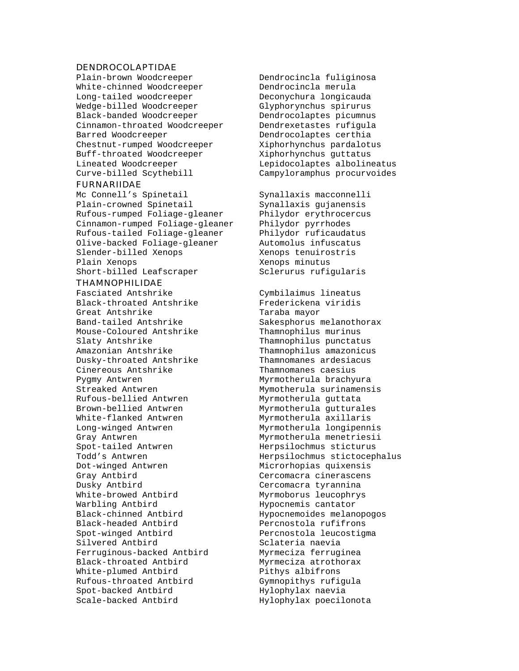#### DENDROCOLAPTIDAE

White-chinned Woodcreeper Dendrocincla merula Long-tailed woodcreeper Deconychura longicauda Wedge-billed Woodcreeper Glyphorynchus spirurus Black-banded Woodcreeper Dendrocolaptes picumnus Cinnamon-throated Woodcreeper Dendrexetastes rufigula Barred Woodcreeper Dendrocolaptes certhia Chestnut-rumped Woodcreeper Xiphorhynchus pardalotus Buff-throated Woodcreeper Xiphorhynchus guttatus Lineated Woodcreeper Lepidocolaptes albolineatus Curve-billed Scythebill Campyloramphus procurvoides

#### FURNARIIDAE

Mc Connell's Spinetail Synallaxis macconnelli<br>
Plain-crowned Spinetail Synallaxis gujanensis Plain-crowned Spinetail Rufous-rumped Foliage-gleaner Philydor erythrocercus Cinnamon-rumped Foliage-gleaner Philydor pyrrhodes<br>Rufous-tailed Foliage-gleaner Philydor ruficaudatus Rufous-tailed Foliage-gleaner Olive-backed Foliage-gleaner Automolus infuscatus Slender-billed Xenops Xenops tenuirostris Plain Xenops **Xenops** Xenops minutus Short-billed Leafscraper Sclerurus rufigularis

#### THAMNOPHILIDAE

Fasciated Antshrike Cymbilaimus lineatus Black-throated Antshrike Frederickena viridis Great Antshrike Taraba mayor Band-tailed Antshrike Sakesphorus melanothorax Mouse-Coloured Antshrike Thamnophilus murinus Slaty Antshrike Thamnophilus punctatus Amazonian Antshrike Thamnophilus amazonicus Dusky-throated Antshrike Thamnomanes ardesiacus Cinereous Antshrike Thamnomanes caesius Pygmy Antwren Myrmotherula brachyura Streaked Antwren Mymotherula surinamensis Rufous-bellied Antwren Myrmotherula guttata Brown-bellied Antwren Myrmotherula gutturales White-flanked Antwren Myrmotherula axillaris Long-winged Antwren Myrmotherula longipennis Gray Antwren **Myrmotherula** menetriesii Spot-tailed Antwren Herpsilochmus sticturus Dot-winged Antwren Microrhopias quixensis Gray Antbird Cercomacra cinerascens Dusky Antbird Cercomacra tyrannina White-browed Antbird Myrmoborus leucophrys Warbling Antbird **Hypocnemis** cantator Black-chinned Antbird Hypocnemoides melanopogos Black-headed Antbird Percnostola rufifrons Spot-winged Antbird Percnostola leucostigma Silvered Antbird Sclateria naevia Ferruginous-backed Antbird Myrmeciza ferruginea Black-throated Antbird Myrmeciza atrothorax White-plumed Antbird Pithys albifrons Rufous-throated Antbird Gymnopithys rufigula Spot-backed Antbird Hylophylax naevia<br>Scale-backed Antbird Hylophylax poecil

Plain-brown Woodcreeper Dendrocincla fuliginosa

Todd's Antwren Herpsilochmus stictocephalus Hylophylax poecilonota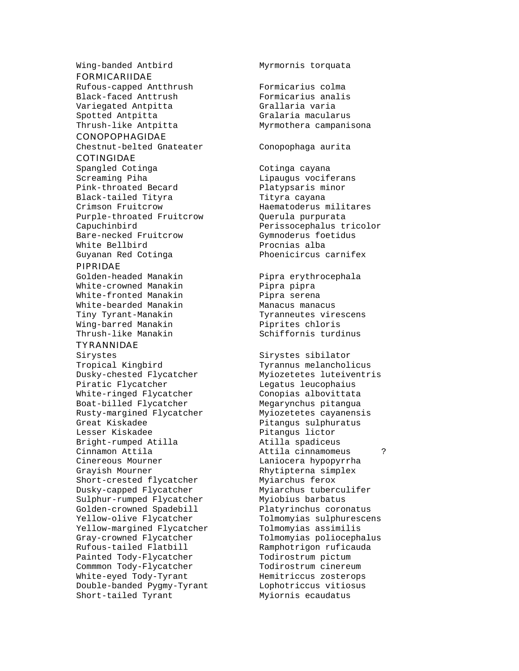Wing-banded Antbird Myrmornis torquata

#### FORMICARIIDAE

Rufous-capped Antthrush Formicarius colma Black-faced Anttrush Formicarius analis Variegated Antpitta Grallaria varia Spotted Antpitta Gralaria macularus Thrush-like Antpitta Myrmothera campanisona

#### CONOPOPHAGIDAE

Chestnut-belted Gnateater Conopophaga aurita

## COTINGIDAE

Spangled Cotinga Cotinga cayana Screaming Piha Lipaugus vociferans Pink-throated Becard Platypsaris minor Black-tailed Tityra Tityra cayana Crimson Fruitcrow Haematoderus militares Purple-throated Fruitcrow Querula purpurata Capuchinbird Perissocephalus tricolor Bare-necked Fruitcrow Gymnoderus foetidus White Bellbird **Procnias** alba Guyanan Red Cotinga entitled Phoenicircus carnifex

#### PIPRIDAE

White-crowned Manakin Pipra pipra White-fronted Manakin Pipra serena White-bearded Manakin Manacus manacus Wing-barred Manakin **Piprites** chloris Thrush-like Manakin Schiffornis turdinus

#### TYRANNIDAE

Tropical Kingbird Tyrannus melancholicus Dusky-chested Flycatcher Myiozetetes luteiventris Piratic Flycatcher Legatus leucophaius White-ringed Flycatcher Conopias albovittata Boat-billed Flycatcher Megarynchus pitangua Rusty-margined Flycatcher Myiozetetes cayanensis Great Kiskadee Pitangus sulphuratus Bright-rumped Atilla Cinnamon Attila Attila cinnamomeus ? Cinereous Mourner The Communication Cinereous Mourner Grayish Mourner **Examplem** Rhytipterna simplex Short-crested flycatcher Myiarchus ferox Dusky-capped Flycatcher Myiarchus tuberculifer Sulphur-rumped Flycatcher Myiobius barbatus Golden-crowned Spadebill Platyrinchus coronatus Yellow-olive Flycatcher Tolmomyias sulphurescens Yellow-margined Flycatcher Tolmomyias assimilis Gray-crowned Flycatcher Tolmomyias poliocephalus Rufous-tailed Flatbill Ramphotrigon ruficauda Painted Tody-Flycatcher Todirostrum pictum Commmon Tody-Flycatcher Todirostrum cinereum White-eyed Tody-Tyrant Hemitriccus zosterops Double-banded Pygmy-Tyrant Lophotriccus vitiosus Short-tailed Tyrant Myiornis ecaudatus

Golden-headed Manakin Pipra erythrocephala Tiny Tyrant-Manakin Tyranneutes virescens

Sirystes Sirystes sibilator Pitangus lictor<br>Atilla spadiceus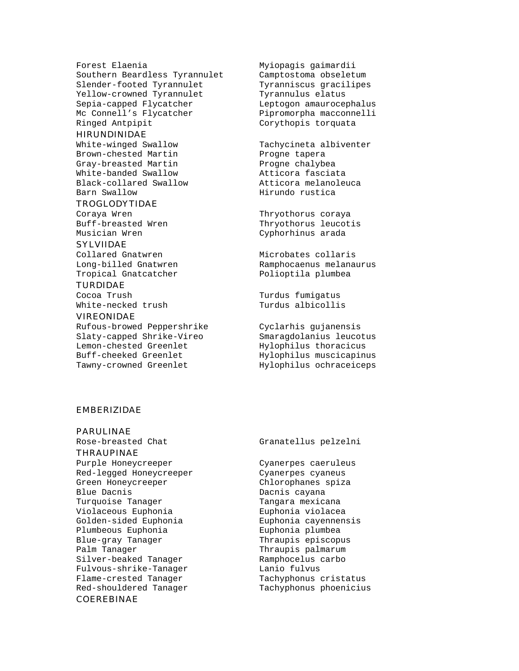Forest Elaenia Myiopagis gaimardii Southern Beardless Tyrannulet Camptostoma obseletum Slender-footed Tyrannulet Tyranniscus gracilipes Yellow-crowned Tyrannulet Tyrannulus elatus Sepia-capped Flycatcher Leptogon amaurocephalus Mc Connell's Flycatcher Pipromorpha macconnelli Ringed Antpipit Corythopis torquata

#### HIRUNDINIDAE

White-winged Swallow Tachycineta albiventer Brown-chested Martin Progne tapera Gray-breasted Martin and Progne chalybea<br>White-banded Swallow and Atticora fasciata White-banded Swallow Black-collared Swallow Atticora melanoleuca Barn Swallow **Hirundo** rustica

#### TROGLODYTIDAE

Coraya Wren Thryothorus coraya Musician Wren Cyphorhinus arada

#### SYLVIIDAE

Collared Gnatwren The Microbates collaris Tropical Gnatcatcher **Polioptila** plumbea

#### TURDIDAE

White-necked trush

#### VIREONIDAE

Rufous-browed Peppershrike Cyclarhis gujanensis<br>Slaty-capped Shrike-Vireo Smaragdolanius leucotus Slaty-capped Shrike-Vireo Lemon-chested Greenlet Hylophilus thoracicus Buff-cheeked Greenlet Hylophilus muscicapinus

Buff-breasted Wren Thryothorus leucotis

Long-billed Gnatwren Ramphocaenus melanaurus

Cocoa Trush Turdus fumigatus

Tawny-crowned Greenlet Hylophilus ochraceiceps

#### EMBERIZIDAE

PARULINAE

Rose-breasted Chat Granatellus pelzelni THRAUPINAE Purple Honeycreeper Cyanerpes caeruleus Red-legged Honeycreeper Cyanerpes cyaneus Green Honeycreeper Chlorophanes spiza Blue Dacnis **Dacnis** Dacnis cayana Turquoise Tanager Turquoise Tanager Violaceous Euphonia Euphonia violacea Golden-sided Euphonia Euphonia cayennensis<br>Plumbeous Euphonia Euphonia plumbea Plumbeous Euphonia<br>Blue-gray Tanager Palm Tanager Thraupis palmarum Silver-beaked Tanager Ramphocelus carbo<br>Fulvous-shrike-Tanager Lanio fulvus Fulvous-shrike-Tanager Flame-crested Tanager Tachyphonus cristatus Red-shouldered Tanager Tachyphonus phoenicius

#### COEREBINAE

Thraupis episcopus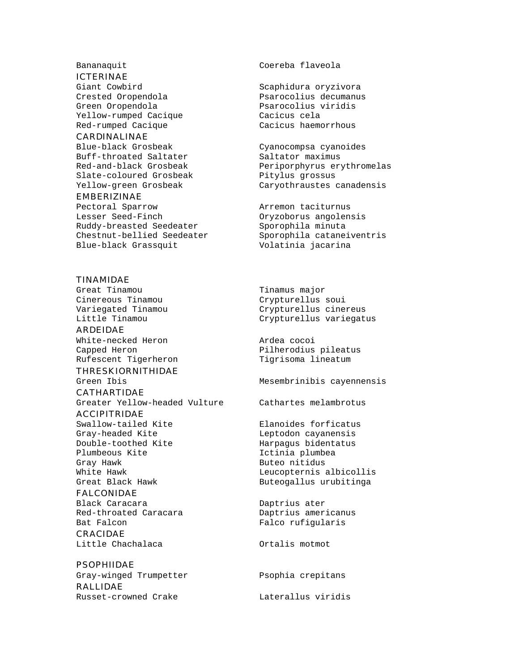#### ICTERINAE

Crested Oropendola Psarocolius decumanus Green Oropendola Psarocolius viridis Yellow-rumped Cacique<br>Red-rumped Cacique Cacicus haemorrhous Red-rumped Cacique

#### CARDINALINAE

Blue-black Grosbeak Cyanocompsa cyanoides Buff-throated Saltater Saltator maximus Slate-coloured Grosbeak Pitylus grossus

#### EMBERIZINAE

Pectoral Sparrow arremon taciturnus<br>
Lesser Seed-Finch and Oryzoborus angolen Ruddy-breasted Seedeater Sporophila minuta Chestnut-bellied Seedeater Sporophila cataneiventris Blue-black Grassquit Volatinia jacarina

#### TINAMIDAE

Great Tinamou Tinamus major Cinereous Tinamou Crypturellus soui

ARDEIDAE White-necked Heron **Ardea** cocoi Rufescent Tigerheron Tigrisoma lineatum

#### THRESKIORNITHIDAE

CATHARTIDAE Greater Yellow-headed Vulture Cathartes melambrotus ACCIPITRIDAE Swallow-tailed Kite **Elanoides** forficatus Gray-headed Kite and Leptodon cayanensis Double-toothed Kite Harpagus bidentatus<br>Plumbeous Kite Harpagus bidentatus Gray Hawk **Buteo** nitidus White Hawk **Leucopternis** albicollis Great Black Hawk **Buteogallus** urubitinga FALCONIDAE Black Caracara **Daptrius** ater Red-throated Caracara Daptrius americanus<br>Bat Falcon Falco rufigularis CRACIDAE

Little Chachalaca **Ortalis** motmot

#### **PSOPHIIDAE**

Gray-winged Trumpetter Psophia crepitans RALLIDAE Russet-crowned Crake Laterallus viridis

Bananaquit Coereba flaveola

Giant Cowbird **Scaphidura** oryzivora

Red-and-black Grosbeak Periporphyrus erythromelas Yellow-green Grosbeak Caryothraustes canadensis

Oryzoborus angolensis

Variegated Tinamou Crypturellus cinereus Little Tinamou Crypturellus variegatus

Capped Heron **Pilherodius** pileatus

Green Ibis **Mesembrinibis** cayennensis

Ictinia plumbea

Falco rufigularis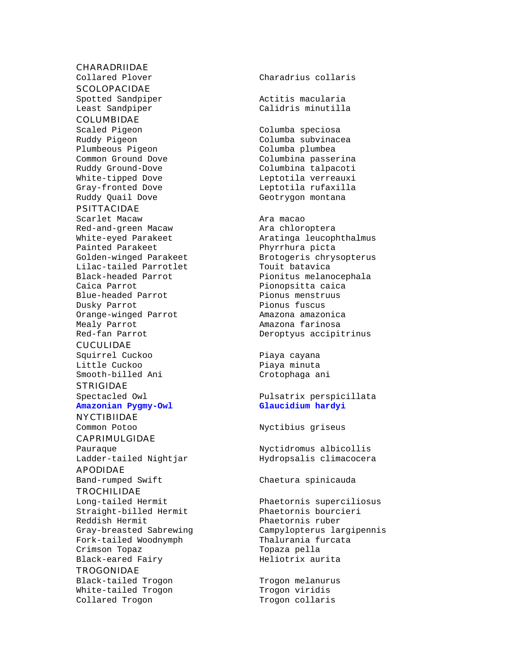#### CHARADRIIDAE

**SCOLOPACIDAE** 

Spotted Sandpiper **Actives** Actitis macularia

#### COLUMBIDAE

Plumbeous Pigeon Columba plumbea Ruddy Quail Dove Geotrygon montana

#### PSITTACIDAE

Scarlet Macaw Ara macao Red-and-green Macaw Painted Parakeet Phyrrhura picta Lilac-tailed Parrotlet Touit batavica Caica Parrot **Pionopsitta** caica Blue-headed Parrot Pionus menstruus Dusky Parrot Pionus fuscus Orange-winged Parrot Amazona amazonica Mealy Parrot Amazona farinosa

#### **CUCULIDAE**

Squirrel Cuckoo **Piaya cayana** Little Cuckoo **Piaya** minuta Smooth-billed Ani Crotophaga ani

#### **STRIGIDAE**

Amazonian Pygmy-Owl

#### **NYCTIBIIDAF**

# CAPRIMULGIDAE

APODIDAE

Band-rumped Swift Chaetura spinicauda

#### **TROCHILIDAE**

Straight-billed Hermit Phaetornis bourcieri Reddish Hermit Phaetornis ruber Fork-tailed Woodnymph Crimson Topaz della Crimson Topaza pella Black-eared Fairy Meliotrix aurita

### TROGONIDAE

Black-tailed Trogon Trogon melanurus White-tailed Trogon Trogon viridis Collared Trogon Trogon collaris

Collared Plover Charadrius collaris

Least Sandpiper Calidris minutilla

Scaled Pigeon Columba speciosa<br>Ruddy Pigeon Columba subvinac Columba subvinacea Common Ground Dove Columbina passerina Ruddy Ground-Dove Columbina talpacoti White-tipped Dove and Leptotila verreauxi Gray-fronted Dove **Leptotila** rufaxilla

# White-eyed Parakeet Aratinga leucophthalmus Golden-winged Parakeet Brotogeris chrysopterus Pionitus melanocephala Red-fan Parrot Christian Deroptyus accipitrinus

# Spectacled Owl **Pulsatrix perspicillata**<br> **Amazonian Pygmy-Owl Pulsatrix perspicillata**

Common Potoo **Nyctibius** griseus

Pauraque **Nyctidromus** albicollis Ladder-tailed Nightjar Hydropsalis climacocera

Long-tailed Hermit Phaetornis superciliosus Campylopterus largipennis<br>Thalurania furcata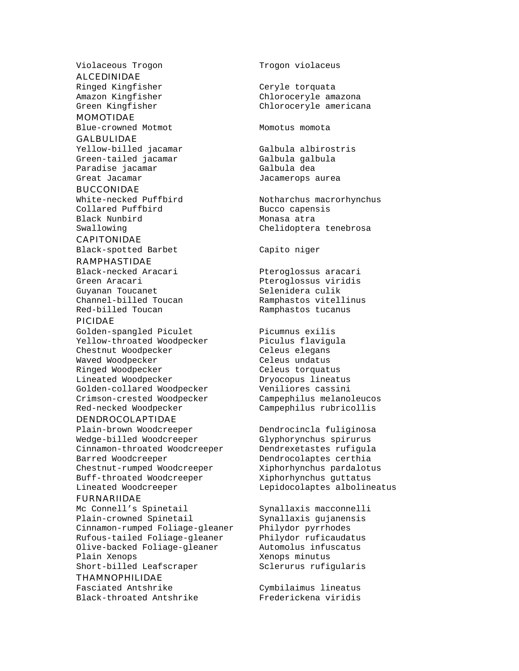Violaceous Trogon Trogon Violaceus

#### ALCEDINIDAE

Ringed Kingfisher Ceryle torquata

MOMOTIDAE Blue-crowned Motmot Momoto Momotus momota

#### GALBULIDAE

Yellow-billed jacamar Galbula albirostris Green-tailed jacamar Galbula galbula Paradise jacamar **Galbula** dea Great Jacamar **Great Increases** Jacamerops aurea

#### BUCCONIDAE

White-necked Puffbird Notharchus macrorhynchus Collared Puffbird Bucco capensis Black Nunbird Monasa atra

#### CAPITONIDAE

Black-spotted Barbet Capito niger

#### RAMPHASTIDAE

Black-necked Aracari Pteroglossus aracari Green Aracari **Premieri Europe Steroglossus viridis** Guyanan Toucanet Selenidera culik Channel-billed Toucan Ramphastos vitellinus Red-billed Toucan Ramphastos tucanus

#### PICIDAE

Golden-spangled Piculet Picumnus exilis Yellow-throated Woodpecker Piculus flavigula Chestnut Woodpecker Celeus elegans Waved Woodpecker **Celeus** undatus Ringed Woodpecker Celeus torquatus Lineated Woodpecker Dryocopus lineatus Golden-collared Woodpecker Veniliores cassini Crimson-crested Woodpecker Campephilus melanoleucos

#### DENDROCOLAPTIDAE

Plain-brown Woodcreeper Dendrocincla fuliginosa Wedge-billed Woodcreeper Glyphorynchus spirurus Cinnamon-throated Woodcreeper Dendrexetastes rufigula Barred Woodcreeper Dendrocolaptes certhia Chestnut-rumped Woodcreeper Xiphorhynchus pardalotus Buff-throated Woodcreeper Xiphorhynchus guttatus Lineated Woodcreeper Lepidocolaptes albolineatus

#### FURNARIIDAE

Mc Connell's Spinetail Synallaxis macconnelli Plain-crowned Spinetail Synallaxis quianensis Cinnamon-rumped Foliage-gleaner Philydor pyrrhodes Rufous-tailed Foliage-gleaner Philydor ruficaudatus Olive-backed Foliage-gleaner Automolus infuscatus Plain Xenops **Mathematic Strutter** Xenops minutus Short-billed Leafscraper Sclerurus rufigularis

#### THAMNOPHILIDAE

Fasciated Antshrike Cymbilaimus lineatus Black-throated Antshrike Frederickena viridis

Amazon Kingfisher Chloroceryle amazona Green Kingfisher Chloroceryle americana

Swallowing Chelidoptera tenebrosa

Red-necked Woodpecker Campephilus rubricollis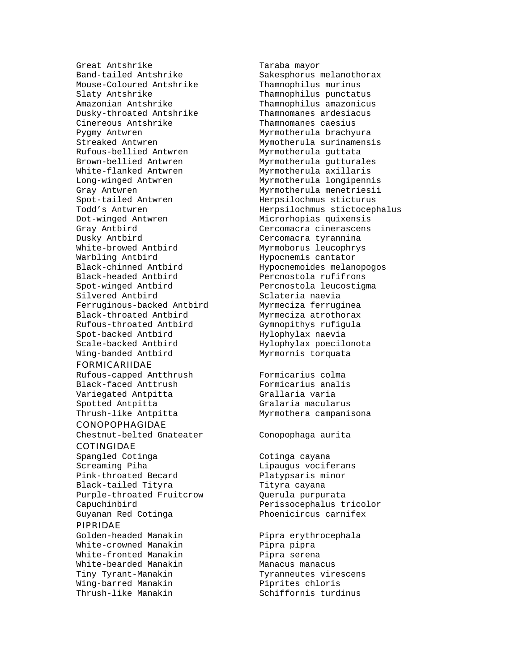Great Antshrike Taraba mayor<br>Band-tailed Antshrike Taraba Sakesphorus Mouse-Coloured Antshrike Thamnophilus murinus Slaty Antshrike Thamnophilus punctatus Amazonian Antshrike Thamnophilus amazonicus Dusky-throated Antshrike Thamnomanes ardesiacus Cinereous Antshrike Thamnomanes caesius Pygmy Antwren **Myrmotherula** brachyura Streaked Antwren Mymotherula surinamensis Rufous-bellied Antwren Myrmotherula guttata Brown-bellied Antwren Myrmotherula gutturales White-flanked Antwren Myrmotherula axillaris Long-winged Antwren Myrmotherula longipennis Gray Antwren **Myrmotherula** menetriesii Spot-tailed Antwren Merpsilochmus sticturus Dot-winged Antwren Microrhopias quixensis Gray Antbird **Cercomacra cinerascens** Dusky Antbird Cercomacra tyrannina White-browed Antbird Myrmoborus leucophrys Warbling Antbird **Hypocnemis** cantator Black-chinned Antbird Hypocnemoides melanopogos Black-headed Antbird Percnostola rufifrons Spot-winged Antbird Percnostola leucostigma Silvered Antbird Sclateria naevia Ferruginous-backed Antbird Myrmeciza ferruginea Black-throated Antbird Myrmeciza atrothorax Rufous-throated Antbird Gymnopithys rufigula Spot-backed Antbird Hylophylax naevia Scale-backed Antbird Hylophylax poecilonota Wing-banded Antbird Myrmornis torquata

#### FORMICARIIDAE

Rufous-capped Antthrush Formicarius colma Black-faced Anttrush Formicarius analis Variegated Antpitta Grallaria varia Spotted Antpitta Gralaria macularus Thrush-like Antpitta Myrmothera campanisona

#### CONOPOPHAGIDAE

Chestnut-belted Gnateater Conopophaga aurita

## COTINGIDAE

Screaming Piha and Lipaugus vociferans Pink-throated Becard Platypsaris minor Black-tailed Tityra Tityra cayana Purple-throated Fruitcrow Querula purpurata Capuchinbird Perissocephalus tricolor Guyanan Red Cotinga **Phoenicircus** carnifex

#### PIPRIDAE

Golden-headed Manakin Pipra erythrocephala White-crowned Manakin Pipra pipra White-fronted Manakin Pipra serena White-bearded Manakin Manacus manacus Tiny Tyrant-Manakin Tyranneutes virescens Wing-barred Manakin **Piprites** chloris Thrush-like Manakin Schiffornis turdinus

Sakesphorus melanothorax Todd's Antwren Herpsilochmus stictocephalus

Spangled Cotinga Cotinga cayana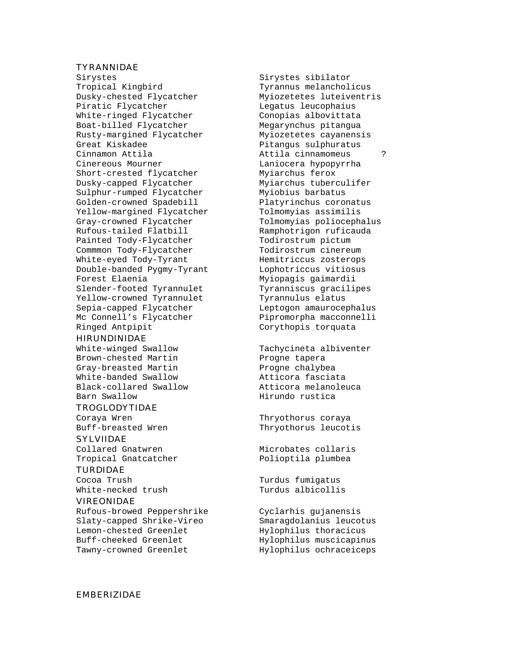#### TYRANNIDAE

Sirystes Sirystes sibilator Tropical Kingbird Tyrannus melancholicus Dusky-chested Flycatcher Myiozetetes luteiventris Piratic Flycatcher Legatus leucophaius White-ringed Flycatcher Conopias albovittata Boat-billed Flycatcher Megarynchus pitangua<br>Rusty-margined Flycatcher Myiozetetes cayanensis Rusty-margined Flycatcher Great Kiskadee entitled and Pitangus sulphuratus Cinnamon Attila Attila cinnamomeus ? Cinereous Mourner The Laniocera hypopyrrha Short-crested flycatcher Myiarchus ferox Dusky-capped Flycatcher Myiarchus tuberculifer Sulphur-rumped Flycatcher Myiobius barbatus Golden-crowned Spadebill Platyrinchus coronatus Yellow-margined Flycatcher Tolmomyias assimilis Gray-crowned Flycatcher Tolmomyias poliocephalus Rufous-tailed Flatbill Ramphotrigon ruficauda Painted Tody-Flycatcher Todirostrum pictum Commmon Tody-Flycatcher Todirostrum cinereum White-eyed Tody-Tyrant Hemitriccus zosterops Double-banded Pygmy-Tyrant Lophotriccus vitiosus Forest Elaenia **Myiopagis** gaimardii Slender-footed Tyrannulet Tyranniscus gracilipes<br>
Yellow-crowned Tyrannulet Tyrannulus elatus Yellow-crowned Tyrannulet Sepia-capped Flycatcher Leptogon amaurocephalus Mc Connell's Flycatcher Pipromorpha macconnelli Ringed Antpipit Corythopis torquata

#### HIRUNDINIDAE

Brown-chested Martin Progne tapera Gray-breasted Martin **Progne chalybea** White-banded Swallow **Atticora** fasciata Black-collared Swallow Atticora melanoleuca Barn Swallow Hirundo rustica

#### TROGLODYTIDAE

SYLVIIDAE

Tropical Gnatcatcher **Polioptila** plumbea

#### TURDIDAE

White-necked trush Turdus albicollis

#### VIREONIDAE

Rufous-browed Peppershrike Cyclarhis gujanensis Slaty-capped Shrike-Vireo Smaragdolanius leucotus Lemon-chested Greenlet Hylophilus thoracicus Buff-cheeked Greenlet Hylophilus muscicapinus Tawny-crowned Greenlet Tawny-crowned Greenlet

White-winged Swallow Tachycineta albiventer

Coraya Wren Thryothorus coraya Buff-breasted Wren Thryothorus leucotis

Collared Gnatwren The Microbates collaris

Cocoa Trush Turdus fumigatus

#### EMBERIZIDAE